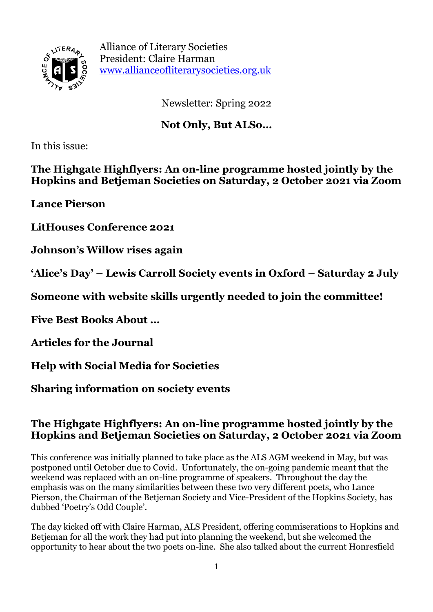

Alliance of Literary Societies President: Claire Harman [www.allianceofliterarysocieties.org.uk](http://www.allianceofliterarysocieties.org.uk/)

Newsletter: Spring 2022

## **Not Only, But ALSo…**

In this issue:

**The Highgate Highflyers: An on-line programme hosted jointly by the Hopkins and Betjeman Societies on Saturday, 2 October 2021 via Zoom**

**Lance Pierson**

**LitHouses Conference 2021**

**Johnson's Willow rises again**

**'Alice's Day' – Lewis Carroll Society events in Oxford – Saturday 2 July**

**Someone with website skills urgently needed to join the committee!**

**Five Best Books About …**

**Articles for the Journal**

**Help with Social Media for Societies**

**Sharing information on society events**

### **The Highgate Highflyers: An on-line programme hosted jointly by the Hopkins and Betjeman Societies on Saturday, 2 October 2021 via Zoom**

This conference was initially planned to take place as the ALS AGM weekend in May, but was postponed until October due to Covid. Unfortunately, the on-going pandemic meant that the weekend was replaced with an on-line programme of speakers. Throughout the day the emphasis was on the many similarities between these two very different poets, who Lance Pierson, the Chairman of the Betjeman Society and Vice-President of the Hopkins Society, has dubbed 'Poetry's Odd Couple'.

The day kicked off with Claire Harman, ALS President, offering commiserations to Hopkins and Betjeman for all the work they had put into planning the weekend, but she welcomed the opportunity to hear about the two poets on-line. She also talked about the current Honresfield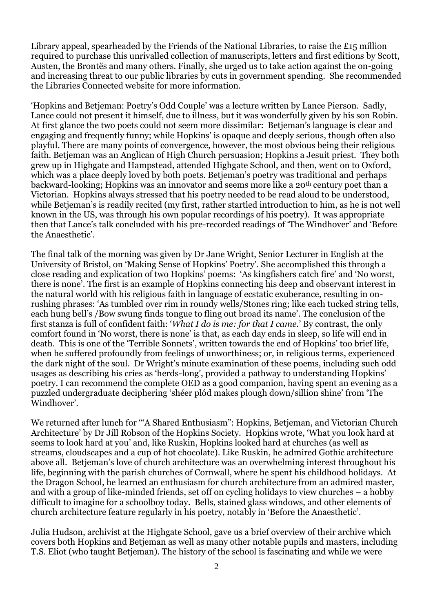Library appeal, spearheaded by the Friends of the National Libraries, to raise the £15 million required to purchase this unrivalled collection of manuscripts, letters and first editions by Scott, Austen, the Brontës and many others. Finally, she urged us to take action against the on-going and increasing threat to our public libraries by cuts in government spending. She recommended the Libraries Connected website for more information.

'Hopkins and Betjeman: Poetry's Odd Couple' was a lecture written by Lance Pierson. Sadly, Lance could not present it himself, due to illness, but it was wonderfully given by his son Robin. At first glance the two poets could not seem more dissimilar: Betjeman's language is clear and engaging and frequently funny; while Hopkins' is opaque and deeply serious, though often also playful. There are many points of convergence, however, the most obvious being their religious faith. Betieman was an Anglican of High Church persuasion; Hopkins a Jesuit priest. They both grew up in Highgate and Hampstead, attended Highgate School, and then, went on to Oxford, which was a place deeply loved by both poets. Betjeman's poetry was traditional and perhaps backward-looking; Hopkins was an innovator and seems more like a 20th century poet than a Victorian. Hopkins always stressed that his poetry needed to be read aloud to be understood, while Betieman's is readily recited (my first, rather startled introduction to him, as he is not well known in the US, was through his own popular recordings of his poetry). It was appropriate then that Lance's talk concluded with his pre-recorded readings of 'The Windhover' and 'Before the Anaesthetic'.

The final talk of the morning was given by Dr Jane Wright, Senior Lecturer in English at the University of Bristol, on 'Making Sense of Hopkins' Poetry'. She accomplished this through a close reading and explication of two Hopkins' poems: 'As kingfishers catch fire' and 'No worst, there is none'. The first is an example of Hopkins connecting his deep and observant interest in the natural world with his religious faith in language of ecstatic exuberance, resulting in onrushing phrases: 'As tumbled over rim in roundy wells/Stones ring; like each tucked string tells, each hung bell's /Bow swung finds tongue to fling out broad its name'. The conclusion of the first stanza is full of confident faith: '*What I do is me: for that I came.*' By contrast, the only comfort found in 'No worst, there is none' is that, as each day ends in sleep, so life will end in death. This is one of the 'Terrible Sonnets', written towards the end of Hopkins' too brief life, when he suffered profoundly from feelings of unworthiness; or, in religious terms, experienced the dark night of the soul. Dr Wright's minute examination of these poems, including such odd usages as describing his cries as 'herds-long', provided a pathway to understanding Hopkins' poetry. I can recommend the complete OED as a good companion, having spent an evening as a puzzled undergraduate deciphering 'shéer plód makes plough down/sillion shine' from 'The Windhover'.

We returned after lunch for '"A Shared Enthusiasm": Hopkins, Betjeman, and Victorian Church Architecture' by Dr Jill Robson of the Hopkins Society. Hopkins wrote, 'What you look hard at seems to look hard at you' and, like Ruskin, Hopkins looked hard at churches (as well as streams, cloudscapes and a cup of hot chocolate). Like Ruskin, he admired Gothic architecture above all. Betjeman's love of church architecture was an overwhelming interest throughout his life, beginning with the parish churches of Cornwall, where he spent his childhood holidays. At the Dragon School, he learned an enthusiasm for church architecture from an admired master, and with a group of like-minded friends, set off on cycling holidays to view churches – a hobby difficult to imagine for a schoolboy today. Bells, stained glass windows, and other elements of church architecture feature regularly in his poetry, notably in 'Before the Anaesthetic'.

Julia Hudson, archivist at the Highgate School, gave us a brief overview of their archive which covers both Hopkins and Betjeman as well as many other notable pupils and masters, including T.S. Eliot (who taught Betjeman). The history of the school is fascinating and while we were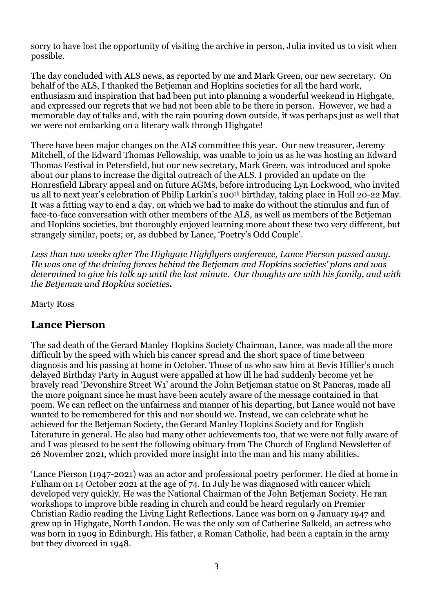sorry to have lost the opportunity of visiting the archive in person, Julia invited us to visit when possible.

The day concluded with ALS news, as reported by me and Mark Green, our new secretary. On behalf of the ALS, I thanked the Betjeman and Hopkins societies for all the hard work, enthusiasm and inspiration that had been put into planning a wonderful weekend in Highgate, and expressed our regrets that we had not been able to be there in person. However, we had a memorable day of talks and, with the rain pouring down outside, it was perhaps just as well that we were not embarking on a literary walk through Highgate!

There have been major changes on the ALS committee this year. Our new treasurer, Jeremy Mitchell, of the Edward Thomas Fellowship, was unable to join us as he was hosting an Edward Thomas Festival in Petersfield, but our new secretary, Mark Green, was introduced and spoke about our plans to increase the digital outreach of the ALS. I provided an update on the Honresfield Library appeal and on future AGMs, before introducing Lyn Lockwood, who invited us all to next year's celebration of Philip Larkin's 100th birthday, taking place in Hull 20-22 May. It was a fitting way to end a day, on which we had to make do without the stimulus and fun of face-to-face conversation with other members of the ALS, as well as members of the Betjeman and Hopkins societies, but thoroughly enjoyed learning more about these two very different, but strangely similar, poets; or, as dubbed by Lance, 'Poetry's Odd Couple'.

*Less than two weeks after The Highgate Highflyers conference, Lance Pierson passed away. He was one of the driving forces behind the Betjeman and Hopkins societies' plans and was determined to give his talk up until the last minute. Our thoughts are with his family, and with the Betjeman and Hopkins societies.*

Marty Ross

### **Lance Pierson**

The sad death of the Gerard Manley Hopkins Society Chairman, Lance, was made all the more difficult by the speed with which his cancer spread and the short space of time between diagnosis and his passing at home in October. Those of us who saw him at Bevis Hillier's much delayed Birthday Party in August were appalled at how ill he had suddenly become yet he bravely read 'Devonshire Street W1' around the John Betjeman statue on St Pancras, made all the more poignant since he must have been acutely aware of the message contained in that poem. We can reflect on the unfairness and manner of his departing, but Lance would not have wanted to be remembered for this and nor should we. Instead, we can celebrate what he achieved for the Betjeman Society, the Gerard Manley Hopkins Society and for English Literature in general. He also had many other achievements too, that we were not fully aware of and I was pleased to be sent the following obituary from The Church of England Newsletter of 26 November 2021, which provided more insight into the man and his many abilities.

'Lance Pierson (1947-2021) was an actor and professional poetry performer. He died at home in Fulham on 14 October 2021 at the age of 74. In July he was diagnosed with cancer which developed very quickly. He was the National Chairman of the John Betjeman Society. He ran workshops to improve bible reading in church and could be heard regularly on Premier Christian Radio reading the Living Light Reflections. Lance was born on 9 January 1947 and grew up in Highgate, North London. He was the only son of Catherine Salkeld, an actress who was born in 1909 in Edinburgh. His father, a Roman Catholic, had been a captain in the army but they divorced in 1948.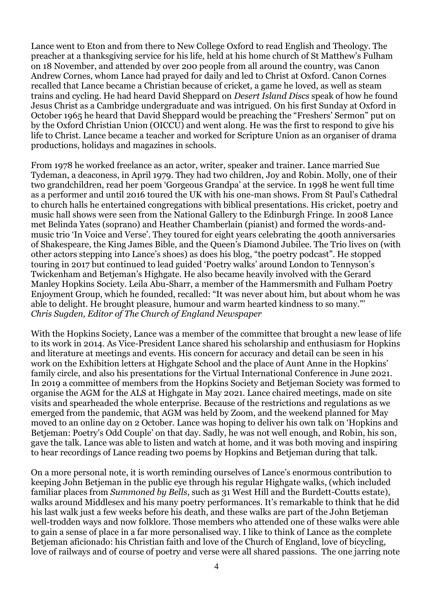Lance went to Eton and from there to New College Oxford to read English and Theology. The preacher at a thanksgiving service for his life, held at his home church of St Matthew's Fulham on 18 November, and attended by over 200 people from all around the country, was Canon Andrew Cornes, whom Lance had prayed for daily and led to Christ at Oxford. Canon Cornes recalled that Lance became a Christian because of cricket, a game he loved, as well as steam trains and cycling. He had heard David Sheppard on *Desert Island Discs* speak of how he found Jesus Christ as a Cambridge undergraduate and was intrigued. On his first Sunday at Oxford in October 1965 he heard that David Sheppard would be preaching the "Freshers' Sermon" put on by the Oxford Christian Union (OICCU) and went along. He was the first to respond to give his life to Christ. Lance became a teacher and worked for Scripture Union as an organiser of drama productions, holidays and magazines in schools.

From 1978 he worked freelance as an actor, writer, speaker and trainer. Lance married Sue Tydeman, a deaconess, in April 1979. They had two children, Joy and Robin. Molly, one of their two grandchildren, read her poem 'Gorgeous Grandpa' at the service. In 1998 he went full time as a performer and until 2016 toured the UK with his one-man shows. From St Paul's Cathedral to church halls he entertained congregations with biblical presentations. His cricket, poetry and music hall shows were seen from the National Gallery to the Edinburgh Fringe. In 2008 Lance met Belinda Yates (soprano) and Heather Chamberlain (pianist) and formed the words-andmusic trio 'In Voice and Verse'. They toured for eight years celebrating the 400th anniversaries of Shakespeare, the King James Bible, and the Queen's Diamond Jubilee. The Trio lives on (with other actors stepping into Lance's shoes) as does his blog, "the poetry podcast". He stopped touring in 2017 but continued to lead guided 'Poetry walks' around London to Tennyson's Twickenham and Betjeman's Highgate. He also became heavily involved with the Gerard Manley Hopkins Society. Leila Abu-Sharr, a member of the Hammersmith and Fulham Poetry Enjoyment Group, which he founded, recalled: "It was never about him, but about whom he was able to delight. He brought pleasure, humour and warm hearted kindness to so many."' *Chris Sugden, Editor of The Church of England Newspaper*

With the Hopkins Society, Lance was a member of the committee that brought a new lease of life to its work in 2014. As Vice-President Lance shared his scholarship and enthusiasm for Hopkins and literature at meetings and events. His concern for accuracy and detail can be seen in his work on the Exhibition letters at Highgate School and the place of Aunt Anne in the Hopkins' family circle, and also his presentations for the Virtual International Conference in June 2021. In 2019 a committee of members from the Hopkins Society and Betjeman Society was formed to organise the AGM for the ALS at Highgate in May 2021. Lance chaired meetings, made on site visits and spearheaded the whole enterprise. Because of the restrictions and regulations as we emerged from the pandemic, that AGM was held by Zoom, and the weekend planned for May moved to an online day on 2 October. Lance was hoping to deliver his own talk on 'Hopkins and Betjeman: Poetry's Odd Couple' on that day. Sadly, he was not well enough, and Robin, his son, gave the talk. Lance was able to listen and watch at home, and it was both moving and inspiring to hear recordings of Lance reading two poems by Hopkins and Betjeman during that talk.

On a more personal note, it is worth reminding ourselves of Lance's enormous contribution to keeping John Betjeman in the public eye through his regular Highgate walks, (which included familiar places from *Summoned by Bells*, such as 31 West Hill and the Burdett-Coutts estate), walks around Middlesex and his many poetry performances. It's remarkable to think that he did his last walk just a few weeks before his death, and these walks are part of the John Betjeman well-trodden ways and now folklore. Those members who attended one of these walks were able to gain a sense of place in a far more personalised way. I like to think of Lance as the complete Betjeman aficionado: his Christian faith and love of the Church of England, love of bicycling, love of railways and of course of poetry and verse were all shared passions. The one jarring note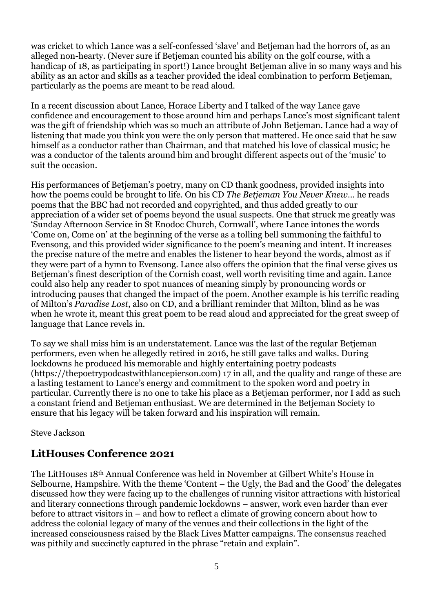was cricket to which Lance was a self-confessed 'slave' and Betjeman had the horrors of, as an alleged non-hearty. (Never sure if Betjeman counted his ability on the golf course, with a handicap of 18, as participating in sport!) Lance brought Betjeman alive in so many ways and his ability as an actor and skills as a teacher provided the ideal combination to perform Betjeman, particularly as the poems are meant to be read aloud.

In a recent discussion about Lance, Horace Liberty and I talked of the way Lance gave confidence and encouragement to those around him and perhaps Lance's most significant talent was the gift of friendship which was so much an attribute of John Betjeman. Lance had a way of listening that made you think you were the only person that mattered. He once said that he saw himself as a conductor rather than Chairman, and that matched his love of classical music; he was a conductor of the talents around him and brought different aspects out of the 'music' to suit the occasion.

His performances of Betjeman's poetry, many on CD thank goodness, provided insights into how the poems could be brought to life. On his CD *The Betjeman You Never Knew*… he reads poems that the BBC had not recorded and copyrighted, and thus added greatly to our appreciation of a wider set of poems beyond the usual suspects. One that struck me greatly was 'Sunday Afternoon Service in St Enodoc Church, Cornwall', where Lance intones the words 'Come on, Come on' at the beginning of the verse as a tolling bell summoning the faithful to Evensong, and this provided wider significance to the poem's meaning and intent. It increases the precise nature of the metre and enables the listener to hear beyond the words, almost as if they were part of a hymn to Evensong. Lance also offers the opinion that the final verse gives us Betieman's finest description of the Cornish coast, well worth revisiting time and again. Lance could also help any reader to spot nuances of meaning simply by pronouncing words or introducing pauses that changed the impact of the poem. Another example is his terrific reading of Milton's *Paradise Lost*, also on CD, and a brilliant reminder that Milton, blind as he was when he wrote it, meant this great poem to be read aloud and appreciated for the great sweep of language that Lance revels in.

To say we shall miss him is an understatement. Lance was the last of the regular Betjeman performers, even when he allegedly retired in 2016, he still gave talks and walks. During lockdowns he produced his memorable and highly entertaining poetry podcasts (https*:*//thepoetrypodcastwithlancepierson.com) 17 in all, and the quality and range of these are a lasting testament to Lance's energy and commitment to the spoken word and poetry in particular. Currently there is no one to take his place as a Betjeman performer, nor I add as such a constant friend and Betjeman enthusiast. We are determined in the Betjeman Society to ensure that his legacy will be taken forward and his inspiration will remain.

Steve Jackson

### **LitHouses Conference 2021**

The LitHouses 18th Annual Conference was held in November at Gilbert White's House in Selbourne, Hampshire. With the theme 'Content – the Ugly, the Bad and the Good' the delegates discussed how they were facing up to the challenges of running visitor attractions with historical and literary connections through pandemic lockdowns – answer, work even harder than ever before to attract visitors in – and how to reflect a climate of growing concern about how to address the colonial legacy of many of the venues and their collections in the light of the increased consciousness raised by the Black Lives Matter campaigns. The consensus reached was pithily and succinctly captured in the phrase "retain and explain".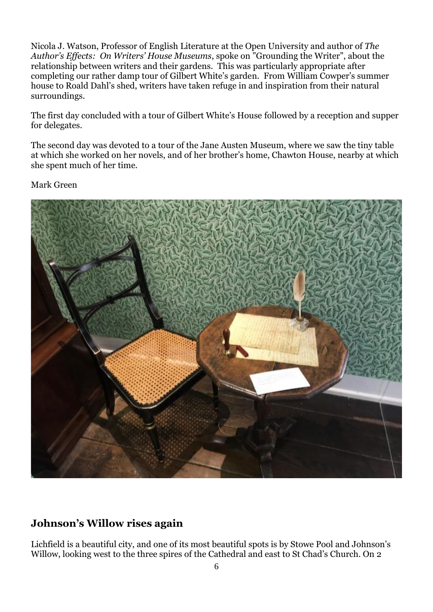Nicola J. Watson, Professor of English Literature at the Open University and author of *The Author's Effects: On Writers' House Museums*, spoke on "Grounding the Writer", about the relationship between writers and their gardens. This was particularly appropriate after completing our rather damp tour of Gilbert White's garden. From William Cowper's summer house to Roald Dahl's shed, writers have taken refuge in and inspiration from their natural surroundings.

The first day concluded with a tour of Gilbert White's House followed by a reception and supper for delegates.

The second day was devoted to a tour of the Jane Austen Museum, where we saw the tiny table at which she worked on her novels, and of her brother's home, Chawton House, nearby at which she spent much of her time.

Mark Green



### **Johnson's Willow rises again**

Lichfield is a beautiful city, and one of its most beautiful spots is by Stowe Pool and Johnson's Willow, looking west to the three spires of the Cathedral and east to St Chad's Church. On 2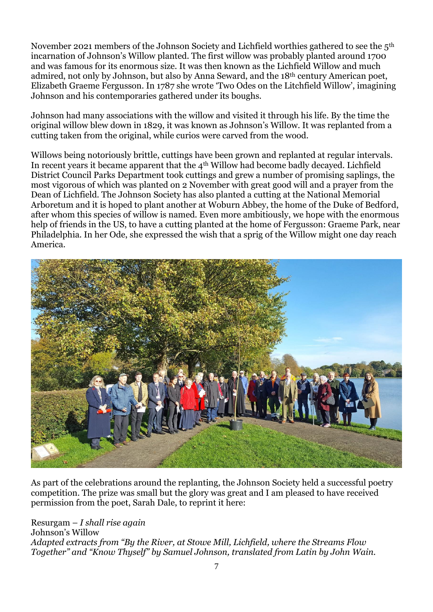November 2021 members of the Johnson Society and Lichfield worthies gathered to see the 5th incarnation of Johnson's Willow planted. The first willow was probably planted around 1700 and was famous for its enormous size. It was then known as the Lichfield Willow and much admired, not only by Johnson, but also by Anna Seward, and the 18th century American poet, Elizabeth Graeme Fergusson. In 1787 she wrote 'Two Odes on the Litchfield Willow', imagining Johnson and his contemporaries gathered under its boughs.

Johnson had many associations with the willow and visited it through his life. By the time the original willow blew down in 1829, it was known as Johnson's Willow. It was replanted from a cutting taken from the original, while curios were carved from the wood.

Willows being notoriously brittle, cuttings have been grown and replanted at regular intervals. In recent years it became apparent that the 4th Willow had become badly decayed. Lichfield District Council Parks Department took cuttings and grew a number of promising saplings, the most vigorous of which was planted on 2 November with great good will and a prayer from the Dean of Lichfield. The Johnson Society has also planted a cutting at the National Memorial Arboretum and it is hoped to plant another at Woburn Abbey, the home of the Duke of Bedford, after whom this species of willow is named. Even more ambitiously, we hope with the enormous help of friends in the US, to have a cutting planted at the home of Fergusson: Graeme Park, near Philadelphia. In her Ode, she expressed the wish that a sprig of the Willow might one day reach America.



As part of the celebrations around the replanting, the Johnson Society held a successful poetry competition. The prize was small but the glory was great and I am pleased to have received permission from the poet, Sarah Dale, to reprint it here:

Resurgam – *I shall rise again* Johnson's Willow *Adapted extracts from "By the River, at Stowe Mill, Lichfield, where the Streams Flow Together" and "Know Thyself" by Samuel Johnson, translated from Latin by John Wain.*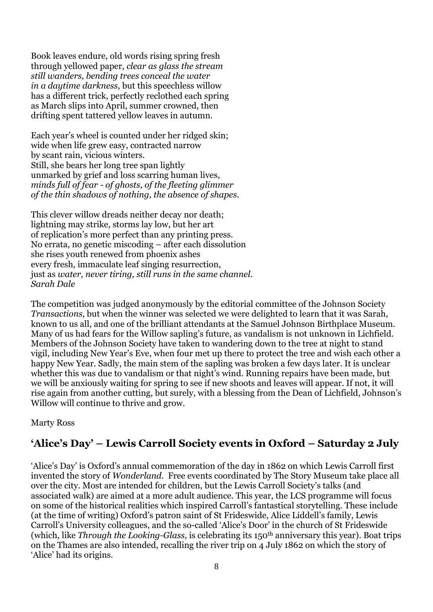Book leaves endure, old words rising spring fresh through yellowed paper, *clear as glass the stream still wanders, bending trees conceal the water in a daytime darkness*, but this speechless willow has a different trick, perfectly reclothed each spring as March slips into April, summer crowned, then drifting spent tattered yellow leaves in autumn.

Each year's wheel is counted under her ridged skin; wide when life grew easy, contracted narrow by scant rain, vicious winters. Still, she bears her long tree span lightly unmarked by grief and loss scarring human lives, *minds full of fear - of ghosts, of the fleeting glimmer of the thin shadows of nothing, the absence of shapes.*

This clever willow dreads neither decay nor death; lightning may strike, storms lay low, but her art of replication's more perfect than any printing press. No errata, no genetic miscoding – after each dissolution she rises youth renewed from phoenix ashes every fresh, immaculate leaf singing resurrection, just as *water, never tiring, still runs in the same channel*. *Sarah Dale*

The competition was judged anonymously by the editorial committee of the Johnson Society *Transactions*, but when the winner was selected we were delighted to learn that it was Sarah, known to us all, and one of the brilliant attendants at the Samuel Johnson Birthplace Museum. Many of us had fears for the Willow sapling's future, as vandalism is not unknown in Lichfield. Members of the Johnson Society have taken to wandering down to the tree at night to stand vigil, including New Year's Eve, when four met up there to protect the tree and wish each other a happy New Year. Sadly, the main stem of the sapling was broken a few days later. It is unclear whether this was due to vandalism or that night's wind. Running repairs have been made, but we will be anxiously waiting for spring to see if new shoots and leaves will appear. If not, it will rise again from another cutting, but surely, with a blessing from the Dean of Lichfield, Johnson's Willow will continue to thrive and grow.

Marty Ross

### **'Alice's Day' – Lewis Carroll Society events in Oxford – Saturday 2 July**

'Alice's Day' is Oxford's annual commemoration of the day in 1862 on which Lewis Carroll first invented the story of *Wonderland*. Free events coordinated by The Story Museum take place all over the city. Most are intended for children, but the Lewis Carroll Society's talks (and associated walk) are aimed at a more adult audience. This year, the LCS programme will focus on some of the historical realities which inspired Carroll's fantastical storytelling. These include (at the time of writing) Oxford's patron saint of St Frideswide, Alice Liddell's family, Lewis Carroll's University colleagues, and the so-called 'Alice's Door' in the church of St Frideswide (which, like *Through the Looking-Glass*, is celebrating its 150th anniversary this year). Boat trips on the Thames are also intended, recalling the river trip on 4 July 1862 on which the story of 'Alice' had its origins.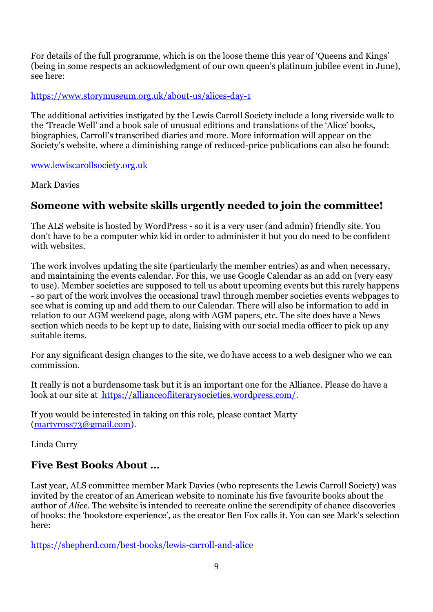For details of the full programme, which is on the loose theme this year of 'Queens and Kings' (being in some respects an acknowledgment of our own queen's platinum jubilee event in June), see here:

#### <https://www.storymuseum.org.uk/about-us/alices-day-1>

The additional activities instigated by the Lewis Carroll Society include a long riverside walk to the 'Treacle Well' and a book sale of unusual editions and translations of the 'Alice' books, biographies, Carroll's transcribed diaries and more. More information will appear on the Society's website, where a diminishing range of reduced-price publications can also be found:

#### [www.lewiscarollsociety.org.uk](http://www.lewiscarollsociety.org.uk/)

Mark Davies

### **Someone with website skills urgently needed to join the committee!**

The ALS website is hosted by WordPress - so it is a very user (and admin) friendly site. You don't have to be a computer whiz kid in order to administer it but you do need to be confident with websites.

The work involves updating the site (particularly the member entries) as and when necessary, and maintaining the events calendar. For this, we use Google Calendar as an add on (very easy to use). Member societies are supposed to tell us about upcoming events but this rarely happens - so part of the work involves the occasional trawl through member societies events webpages to see what is coming up and add them to our Calendar. There will also be information to add in relation to our AGM weekend page, along with AGM papers, etc. The site does have a News section which needs to be kept up to date, liaising with our social media officer to pick up any suitable items.

For any significant design changes to the site, we do have access to a web designer who we can commission.

It really is not a burdensome task but it is an important one for the Alliance. Please do have a look at our site at [https://allianceofliterarysocieties.wordpress.com/.](https://allianceofliterarysocieties.wordpress.com/)

If you would be interested in taking on this role, please contact Marty [\(martyross73@gmail.com\)](mailto:martyross73@gmail.com).

Linda Curry

### **Five Best Books About …**

Last year, ALS committee member Mark Davies (who represents the Lewis Carroll Society) was invited by the creator of an American website to nominate his five favourite books about the author of *Alice*. The website is intended to recreate online the serendipity of chance discoveries of books: the 'bookstore experience', as the creator Ben Fox calls it. You can see Mark's selection here:

<https://shepherd.com/best-books/lewis-carroll-and-alice>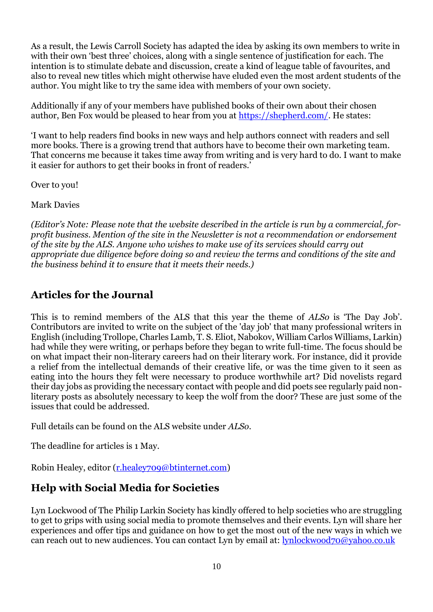As a result, the Lewis Carroll Society has adapted the idea by asking its own members to write in with their own 'best three' choices, along with a single sentence of justification for each. The intention is to stimulate debate and discussion, create a kind of league table of favourites, and also to reveal new titles which might otherwise have eluded even the most ardent students of the author. You might like to try the same idea with members of your own society.

Additionally if any of your members have published books of their own about their chosen author, Ben Fox would be pleased to hear from you at [https://shepherd.com/.](https://shepherd.com/) He states:

'I want to help readers find books in new ways and help authors connect with readers and sell more books. There is a growing trend that authors have to become their own marketing team. That concerns me because it takes time away from writing and is very hard to do. I want to make it easier for authors to get their books in front of readers.'

Over to you!

Mark Davies

*(Editor's Note: Please note that the website described in the article is run by a commercial, forprofit business. Mention of the site in the Newsletter is not a recommendation or endorsement of the site by the ALS. Anyone who wishes to make use of its services should carry out appropriate due diligence before doing so and review the terms and conditions of the site and the business behind it to ensure that it meets their needs.)*

### **Articles for the Journal**

This is to remind members of the ALS that this year the theme of *ALSo* is 'The Day Job'. Contributors are invited to write on the subject of the 'day job' that many professional writers in English (including Trollope, Charles Lamb, T. S. Eliot, Nabokov, William Carlos Williams, Larkin) had while they were writing, or perhaps before they began to write full-time. The focus should be on what impact their non-literary careers had on their literary work. For instance, did it provide a relief from the intellectual demands of their creative life, or was the time given to it seen as eating into the hours they felt were necessary to produce worthwhile art? Did novelists regard their day jobs as providing the necessary contact with people and did poets see regularly paid nonliterary posts as absolutely necessary to keep the wolf from the door? These are just some of the issues that could be addressed.

Full details can be found on the ALS website under *ALSo*.

The deadline for articles is 1 May.

Robin Healey, editor [\(r.healey709@btinternet.com\)](mailto:r.healey709@btinternet.com)

### **Help with Social Media for Societies**

Lyn Lockwood of The Philip Larkin Society has kindly offered to help societies who are struggling to get to grips with using social media to promote themselves and their events. Lyn will share her experiences and offer tips and guidance on how to get the most out of the new ways in which we can reach out to new audiences. You can contact Lyn by email at: [lynlockwood70@yahoo.co.uk](mailto:lynlockwood70@yahoo.co.uk)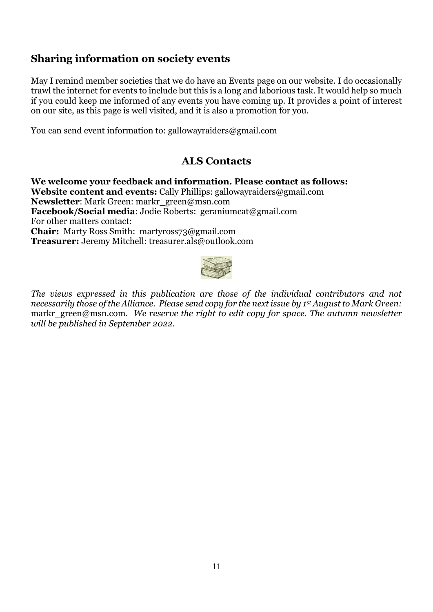### **Sharing information on society events**

May I remind member societies that we do have an Events page on our website. I do occasionally trawl the internet for events to include but this is a long and laborious task. It would help so much if you could keep me informed of any events you have coming up. It provides a point of interest on our site, as this page is well visited, and it is also a promotion for you.

You can send event information to: gallowayraiders@gmail.com

### **ALS Contacts**

**We welcome your feedback and information. Please contact as follows: Website content and events:** Cally Phillips: gallowayraiders@gmail.com **Newsletter**: Mark Green: markr\_green@msn.com **Facebook/Social media**: Jodie Roberts: [geraniumcat@gmail.com](mailto:geraniumcat@gmail.com) For other matters contact: **Chair:** Marty Ross Smith: [martyross73@gmail.com](mailto:martyross73@gmail.com)  **Treasurer:** Jeremy Mitchell: treasurer.als@outlook.com



*The views expressed in this publication are those of the individual contributors and not necessarily those of the Alliance. Please send copy for the next issue by 1st August to Mark Green:*  markr\_green@msn.com. We reserve the right to edit copy for space. The autumn newsletter *will be published in September 2022.*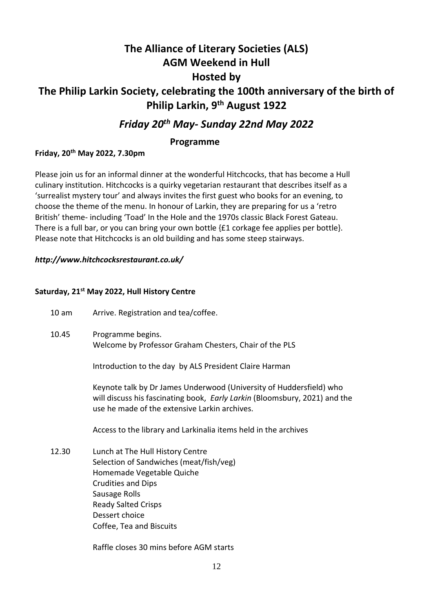# **The Alliance of Literary Societies (ALS) AGM Weekend in Hull Hosted by The Philip Larkin Society, celebrating the 100th anniversary of the birth of Philip Larkin, 9th August 1922**

### *Friday 20th May- Sunday 22nd May 2022*

#### **Programme**

#### **Friday, 20th May 2022, 7.30pm**

Please join us for an informal dinner at the wonderful Hitchcocks, that has become a Hull culinary institution. Hitchcocks is a quirky vegetarian restaurant that describes itself as a 'surrealist mystery tour' and always invites the first guest who books for an evening, to choose the theme of the menu. In honour of Larkin, they are preparing for us a 'retro British' theme- including 'Toad' In the Hole and the 1970s classic Black Forest Gateau. There is a full bar, or you can bring your own bottle {£1 corkage fee applies per bottle}. Please note that Hitchcocks is an old building and has some steep stairways.

#### *http://www.hitchcocksrestaurant.co.uk/*

#### **Saturday, 21st May 2022, Hull History Centre**

| 10 <sub>am</sub> | Arrive. Registration and tea/coffee.                                                                                                                                                                                               |
|------------------|------------------------------------------------------------------------------------------------------------------------------------------------------------------------------------------------------------------------------------|
| 10.45            | Programme begins.<br>Welcome by Professor Graham Chesters, Chair of the PLS                                                                                                                                                        |
|                  | Introduction to the day by ALS President Claire Harman                                                                                                                                                                             |
|                  | Keynote talk by Dr James Underwood (University of Huddersfield) who<br>will discuss his fascinating book, Early Larkin (Bloomsbury, 2021) and the<br>use he made of the extensive Larkin archives.                                 |
|                  | Access to the library and Larkinalia items held in the archives                                                                                                                                                                    |
| 12.30            | Lunch at The Hull History Centre<br>Selection of Sandwiches (meat/fish/veg)<br>Homemade Vegetable Quiche<br><b>Crudities and Dips</b><br>Sausage Rolls<br><b>Ready Salted Crisps</b><br>Dessert choice<br>Coffee, Tea and Biscuits |
|                  | Raffle closes 30 mins before AGM starts                                                                                                                                                                                            |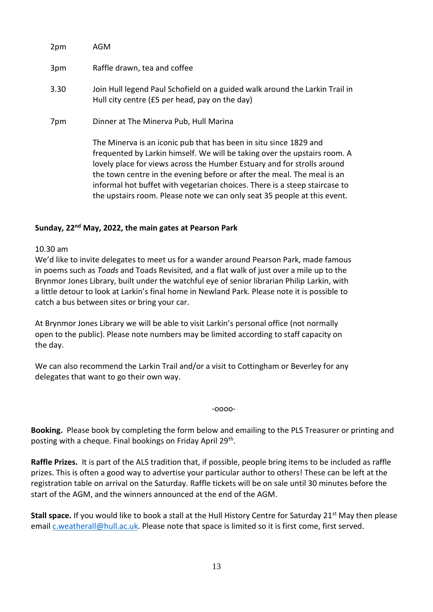| 2pm  | AGM                                                                                                                                                                                                                                                                                                  |
|------|------------------------------------------------------------------------------------------------------------------------------------------------------------------------------------------------------------------------------------------------------------------------------------------------------|
| 3pm  | Raffle drawn, tea and coffee                                                                                                                                                                                                                                                                         |
| 3.30 | Join Hull legend Paul Schofield on a guided walk around the Larkin Trail in<br>Hull city centre (£5 per head, pay on the day)                                                                                                                                                                        |
| 7pm  | Dinner at The Minerva Pub, Hull Marina                                                                                                                                                                                                                                                               |
|      | The Minerva is an iconic pub that has been in situ since 1829 and<br>frequented by Larkin himself. We will be taking over the upstairs room. A<br>lovely place for views across the Humber Estuary and for strolls around<br>the town centre in the evening before or after the meal. The meal is an |

informal hot buffet with vegetarian choices. There is a steep staircase to the upstairs room. Please note we can only seat 35 people at this event.

#### **Sunday, 22nd May, 2022, the main gates at Pearson Park**

10.30 am

We'd like to invite delegates to meet us for a wander around Pearson Park, made famous in poems such as *Toads* and Toads Revisited*,* and a flat walk of just over a mile up to the Brynmor Jones Library, built under the watchful eye of senior librarian Philip Larkin, with a little detour to look at Larkin's final home in Newland Park. Please note it is possible to catch a bus between sites or bring your car.

At Brynmor Jones Library we will be able to visit Larkin's personal office (not normally open to the public). Please note numbers may be limited according to staff capacity on the day.

We can also recommend the Larkin Trail and/or a visit to Cottingham or Beverley for any delegates that want to go their own way.

-oooo-

**Booking.** Please book by completing the form below and emailing to the PLS Treasurer or printing and posting with a cheque. Final bookings on Friday April 29<sup>th</sup>.

**Raffle Prizes.** It is part of the ALS tradition that, if possible, people bring items to be included as raffle prizes. This is often a good way to advertise your particular author to others! These can be left at the registration table on arrival on the Saturday. Raffle tickets will be on sale until 30 minutes before the start of the AGM, and the winners announced at the end of the AGM.

**Stall space.** If you would like to book a stall at the Hull History Centre for Saturday 21<sup>st</sup> May then please email [c.weatherall@hull.ac.uk.](mailto:c.weatherall@hull.ac.uk) Please note that space is limited so it is first come, first served.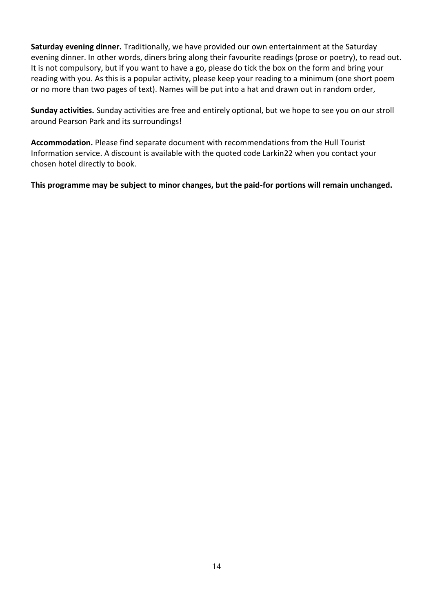**Saturday evening dinner.** Traditionally, we have provided our own entertainment at the Saturday evening dinner. In other words, diners bring along their favourite readings (prose or poetry), to read out. It is not compulsory, but if you want to have a go, please do tick the box on the form and bring your reading with you. As this is a popular activity, please keep your reading to a minimum (one short poem or no more than two pages of text). Names will be put into a hat and drawn out in random order,

**Sunday activities.** Sunday activities are free and entirely optional, but we hope to see you on our stroll around Pearson Park and its surroundings!

**Accommodation.** Please find separate document with recommendations from the Hull Tourist Information service. A discount is available with the quoted code Larkin22 when you contact your chosen hotel directly to book.

**This programme may be subject to minor changes, but the paid-for portions will remain unchanged.**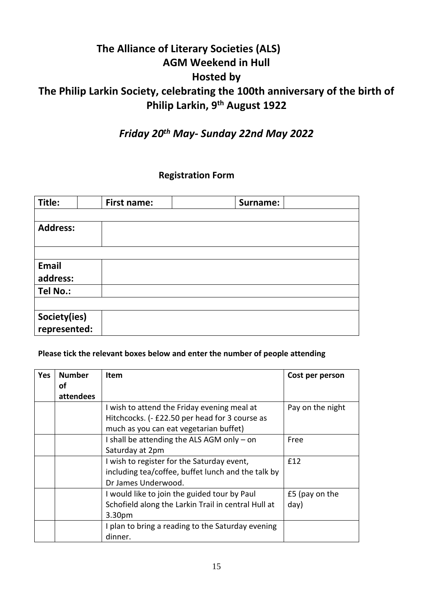# **The Alliance of Literary Societies (ALS) AGM Weekend in Hull Hosted by The Philip Larkin Society, celebrating the 100th anniversary of the birth of Philip Larkin, 9th August 1922**

# *Friday 20th May- Sunday 22nd May 2022*

### **Registration Form**

| Title:          | First name: | Surname: |  |
|-----------------|-------------|----------|--|
|                 |             |          |  |
| <b>Address:</b> |             |          |  |
|                 |             |          |  |
|                 |             |          |  |
| Email           |             |          |  |
| address:        |             |          |  |
| Tel No.:        |             |          |  |
|                 |             |          |  |
| Society(ies)    |             |          |  |
| represented:    |             |          |  |

#### **Please tick the relevant boxes below and enter the number of people attending**

| <b>Yes</b> | <b>Number</b><br>οf | <b>Item</b>                                         | Cost per person  |
|------------|---------------------|-----------------------------------------------------|------------------|
|            | attendees           |                                                     |                  |
|            |                     | I wish to attend the Friday evening meal at         | Pay on the night |
|            |                     | Hitchcocks. (- £22.50 per head for 3 course as      |                  |
|            |                     | much as you can eat vegetarian buffet)              |                  |
|            |                     | I shall be attending the ALS AGM only - on          | Free             |
|            |                     | Saturday at 2pm                                     |                  |
|            |                     | I wish to register for the Saturday event,          | £12              |
|            |                     | including tea/coffee, buffet lunch and the talk by  |                  |
|            |                     | Dr James Underwood.                                 |                  |
|            |                     | I would like to join the guided tour by Paul        | £5 (pay on the   |
|            |                     | Schofield along the Larkin Trail in central Hull at | day)             |
|            |                     | 3.30pm                                              |                  |
|            |                     | I plan to bring a reading to the Saturday evening   |                  |
|            |                     | dinner.                                             |                  |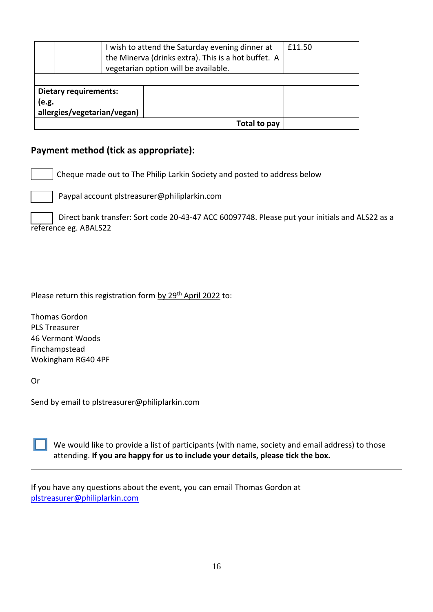| I wish to attend the Saturday evening dinner at<br>the Minerva (drinks extra). This is a hot buffet. A<br>vegetarian option will be available. |              | £11.50 |  |  |
|------------------------------------------------------------------------------------------------------------------------------------------------|--------------|--------|--|--|
| <b>Dietary requirements:</b><br>(e.g.                                                                                                          |              |        |  |  |
| allergies/vegetarian/vegan)                                                                                                                    |              |        |  |  |
|                                                                                                                                                | Total to pay |        |  |  |

#### **Payment method (tick as appropriate):**

Cheque made out to The Philip Larkin Society and posted to address below

Paypal account plstreasurer@philiplarkin.com

 Direct bank transfer: Sort code 20-43-47 ACC 60097748. Please put your initials and ALS22 as a reference eg. ABALS22

Please return this registration form by 29<sup>th</sup> April 2022 to:

Thomas Gordon PLS Treasurer 46 Vermont Woods Finchampstead Wokingham RG40 4PF

Or

Send by email to plstreasurer@philiplarkin.com

We would like to provide a list of participants (with name, society and email address) to those attending. **If you are happy for us to include your details, please tick the box.**

If you have any questions about the event, you can email Thomas Gordon at [plstreasurer@philiplarkin.com](mailto:plstreasurer@philiplarkin.com)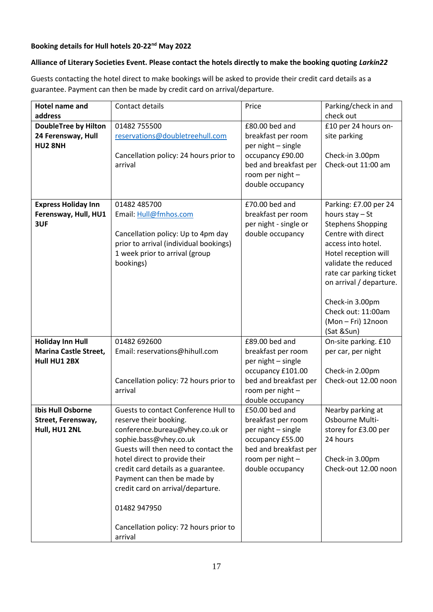#### **Booking details for Hull hotels 20-22nd May 2022**

#### **Alliance of Literary Societies Event. Please contact the hotels directly to make the booking quoting** *Larkin22*

Guests contacting the hotel direct to make bookings will be asked to provide their credit card details as a guarantee. Payment can then be made by credit card on arrival/departure.

| <b>Hotel name and</b>                                     | Contact details                                                                                                                                                                                                                                                         | Price                                                                                                                         | Parking/check in and                                                                                                                                                                                                                                                                                |
|-----------------------------------------------------------|-------------------------------------------------------------------------------------------------------------------------------------------------------------------------------------------------------------------------------------------------------------------------|-------------------------------------------------------------------------------------------------------------------------------|-----------------------------------------------------------------------------------------------------------------------------------------------------------------------------------------------------------------------------------------------------------------------------------------------------|
| address                                                   |                                                                                                                                                                                                                                                                         |                                                                                                                               | check out                                                                                                                                                                                                                                                                                           |
| <b>DoubleTree by Hilton</b>                               | 01482 755500                                                                                                                                                                                                                                                            | £80.00 bed and                                                                                                                | £10 per 24 hours on-                                                                                                                                                                                                                                                                                |
| 24 Ferensway, Hull                                        | reservations@doubletreehull.com                                                                                                                                                                                                                                         | breakfast per room                                                                                                            | site parking                                                                                                                                                                                                                                                                                        |
| HU2 8NH                                                   | Cancellation policy: 24 hours prior to<br>arrival                                                                                                                                                                                                                       | per night - single<br>occupancy £90.00<br>bed and breakfast per<br>room per night -<br>double occupancy                       | Check-in 3.00pm<br>Check-out 11:00 am                                                                                                                                                                                                                                                               |
| <b>Express Holiday Inn</b><br>Ferensway, Hull, HU1<br>3UF | 01482 485700<br>Email: Hull@fmhos.com<br>Cancellation policy: Up to 4pm day<br>prior to arrival (individual bookings)<br>1 week prior to arrival (group<br>bookings)                                                                                                    | £70.00 bed and<br>breakfast per room<br>per night - single or<br>double occupancy                                             | Parking: £7.00 per 24<br>hours $stay - St$<br><b>Stephens Shopping</b><br>Centre with direct<br>access into hotel.<br>Hotel reception will<br>validate the reduced<br>rate car parking ticket<br>on arrival / departure.<br>Check-in 3.00pm<br>Check out: 11:00am<br>(Mon-Fri) 12noon<br>(Sat &Sun) |
| <b>Holiday Inn Hull</b>                                   | 01482 692600                                                                                                                                                                                                                                                            | £89.00 bed and                                                                                                                | On-site parking. £10                                                                                                                                                                                                                                                                                |
| <b>Marina Castle Street,</b>                              | Email: reservations@hihull.com                                                                                                                                                                                                                                          | breakfast per room                                                                                                            | per car, per night                                                                                                                                                                                                                                                                                  |
| Hull HU1 2BX                                              | Cancellation policy: 72 hours prior to<br>arrival                                                                                                                                                                                                                       | per night - single<br>occupancy £101.00<br>bed and breakfast per<br>room per night -<br>double occupancy                      | Check-in 2.00pm<br>Check-out 12.00 noon                                                                                                                                                                                                                                                             |
| <b>Ibis Hull Osborne</b>                                  | Guests to contact Conference Hull to                                                                                                                                                                                                                                    | £50.00 bed and                                                                                                                | Nearby parking at                                                                                                                                                                                                                                                                                   |
| Street, Ferensway,<br>Hull, HU1 2NL                       | reserve their booking.<br>conference.bureau@vhey.co.uk or<br>sophie.bass@vhey.co.uk<br>Guests will then need to contact the<br>hotel direct to provide their<br>credit card details as a guarantee.<br>Payment can then be made by<br>credit card on arrival/departure. | breakfast per room<br>per night - single<br>occupancy £55.00<br>bed and breakfast per<br>room per night -<br>double occupancy | Osbourne Multi-<br>storey for £3.00 per<br>24 hours<br>Check-in 3.00pm<br>Check-out 12.00 noon                                                                                                                                                                                                      |
|                                                           | 01482 947950                                                                                                                                                                                                                                                            |                                                                                                                               |                                                                                                                                                                                                                                                                                                     |
|                                                           | Cancellation policy: 72 hours prior to<br>arrival                                                                                                                                                                                                                       |                                                                                                                               |                                                                                                                                                                                                                                                                                                     |